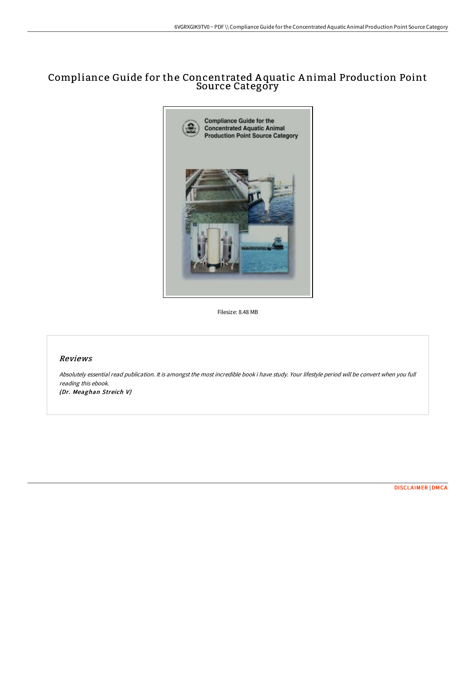## Compliance Guide for the Concentrated A quatic A nimal Production Point Source Category



Filesize: 8.48 MB

## Reviews

Absolutely essential read publication. It is amongst the most incredible book i have study. Your lifestyle period will be convert when you full reading this ebook. (Dr. Meaghan Streich V)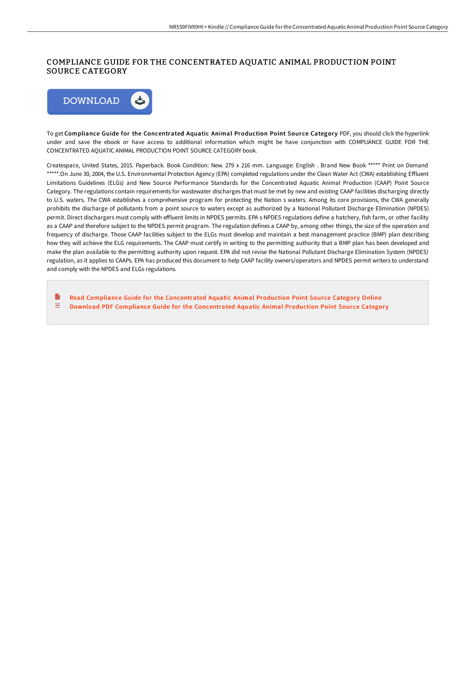## COMPLIANCE GUIDE FOR THE CONCENTRATED AQUATIC ANIMAL PRODUCTION POINT SOURCE CATEGORY



To get Compliance Guide for the Concentrated Aquatic Animal Production Point Source Category PDF, you should click the hyperlink under and save the ebook or have access to additional information which might be have conjunction with COMPLIANCE GUIDE FOR THE CONCENTRATED AQUATIC ANIMAL PRODUCTION POINT SOURCE CATEGORY book.

Createspace, United States, 2015. Paperback. Book Condition: New. 279 x 216 mm. Language: English . Brand New Book \*\*\*\*\* Print on Demand \*\*\*\*\*.On June 30, 2004, the U.S. Environmental Protection Agency (EPA) completed regulations under the Clean Water Act (CWA) establishing Effluent Limitations Guidelines (ELGs) and New Source Performance Standards for the Concentrated Aquatic Animal Production (CAAP) Point Source Category. The regulations contain requirements for wastewater discharges that must be met by new and existing CAAP facilities discharging directly to U.S. waters. The CWA establishes a comprehensive program for protecting the Nation s waters. Among its core provisions, the CWA generally prohibits the discharge of pollutants from a point source to waters except as authorized by a National Pollutant Discharge Elimination (NPDES) permit. Direct dischargers must comply with effluent limits in NPDES permits. EPA s NPDES regulations define a hatchery, fish farm, or other facility as a CAAP and therefore subject to the NPDES permit program. The regulation defines a CAAP by, among other things, the size of the operation and frequency of discharge. Those CAAP facilities subject to the ELGs must develop and maintain a best management practice (BMP) plan describing how they will achieve the ELG requirements. The CAAP must certify in writing to the permitting authority that a BMP plan has been developed and make the plan available to the permitting authority upon request. EPA did not revise the National Pollutant Discharge Elimination System (NPDES) regulation, as it applies to CAAPs. EPA has produced this document to help CAAP facility owners/operators and NPDES permit writers to understand and comply with the NPDES and ELGs regulations.

 $\blacksquare$ Read Compliance Guide for the [Concentrated](http://albedo.media/compliance-guide-for-the-concentrated-aquatic-an.html) Aquatic Animal Production Point Source Category Online  $\overline{\mathbf{P}^{\text{RF}}}$ Download PDF Compliance Guide for the [Concentrated](http://albedo.media/compliance-guide-for-the-concentrated-aquatic-an.html) Aquatic Animal Production Point Source Category